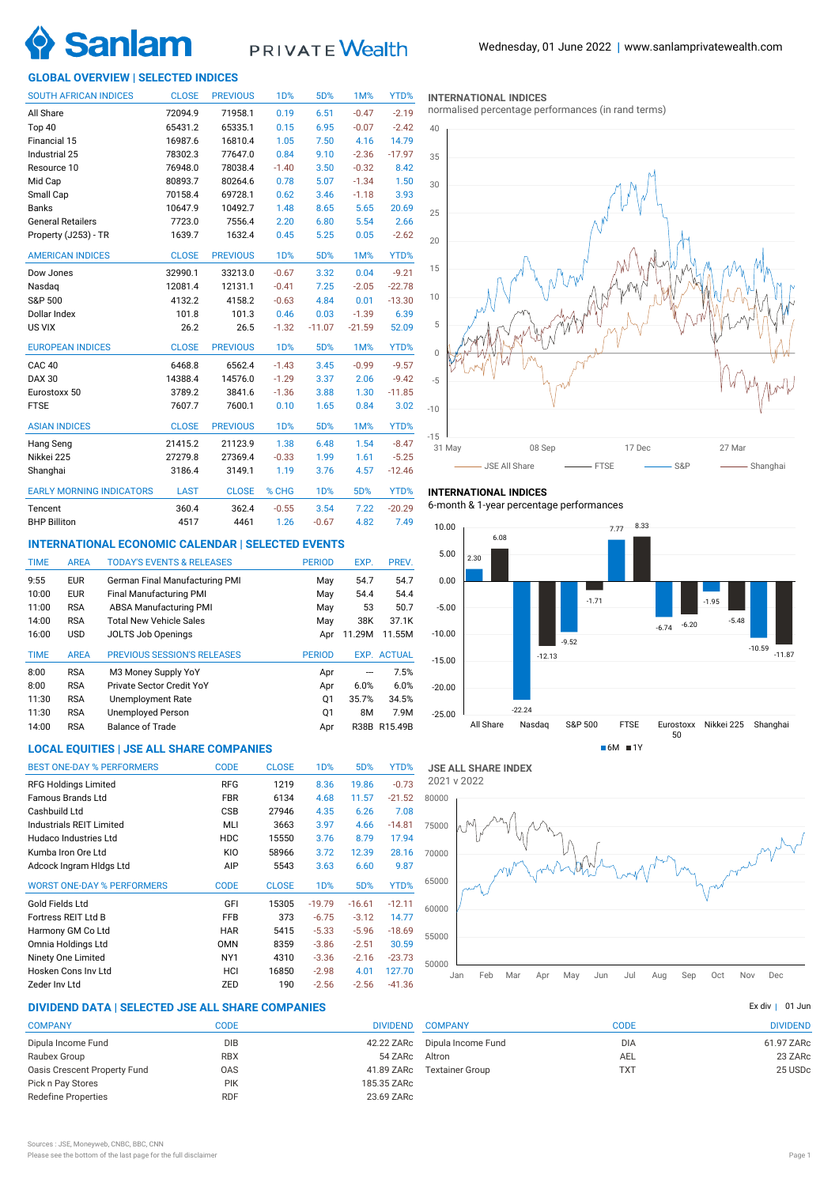

# PRIVATE Wealth

# **GLOBAL OVERVIEW | SELECTED INDICES**

| <b>SOUTH AFRICAN INDICES</b>    | <b>CLOSE</b> | <b>PREVIOUS</b> | 1D%              | 5D%              | 1M%      | YTD%     |
|---------------------------------|--------------|-----------------|------------------|------------------|----------|----------|
| All Share                       | 72094.9      | 71958.1         | 0.19             | 6.51             | $-0.47$  | $-2.19$  |
| Top 40                          | 65431.2      | 65335.1         | 0.15             | 6.95             | $-0.07$  | $-2.42$  |
| Financial 15                    | 16987.6      | 16810.4         | 1.05             | 7.50             | 4.16     | 14.79    |
| Industrial 25                   | 78302.3      | 77647.0         | 0.84             | 9.10             | $-2.36$  | $-17.97$ |
| Resource 10                     | 76948.0      | 78038.4         | $-1.40$          | 3.50             | $-0.32$  | 8.42     |
| Mid Cap                         | 80893.7      | 80264.6         | 0.78             | 5.07             | $-1.34$  | 1.50     |
| Small Cap                       | 70158.4      | 69728.1         | 0.62             | 3.46             | $-1.18$  | 3.93     |
| <b>Banks</b>                    | 10647.9      | 10492.7         | 1.48             | 8.65             | 5.65     | 20.69    |
| <b>General Retailers</b>        | 7723.0       | 7556.4          | 2.20             | 6.80             | 5.54     | 2.66     |
| Property (J253) - TR            | 1639.7       | 1632.4          | 0.45             | 5.25             | 0.05     | $-2.62$  |
| <b>AMERICAN INDICES</b>         | <b>CLOSE</b> | <b>PREVIOUS</b> | 1 <sub>D</sub> % | 5D%              | 1M%      | YTD%     |
| Dow Jones                       | 32990.1      | 33213.0         | $-0.67$          | 3.32             | 0.04     | $-9.21$  |
| Nasdag                          | 12081.4      | 12131.1         | $-0.41$          | 7.25             | $-2.05$  | $-22.78$ |
| S&P 500                         | 4132.2       | 4158.2          | $-0.63$          | 4.84             | 0.01     | $-13.30$ |
| Dollar Index                    | 101.8        | 101.3           | 0.46             | 0.03             | $-1.39$  | 6.39     |
| US VIX                          | 26.2         | 26.5            | $-1.32$          | $-11.07$         | $-21.59$ | 52.09    |
| <b>EUROPEAN INDICES</b>         | <b>CLOSE</b> | <b>PREVIOUS</b> | 1 <sub>D</sub> % | 5D%              | 1M%      | YTD%     |
| <b>CAC 40</b>                   | 6468.8       | 6562.4          | $-1.43$          | 3.45             | $-0.99$  | $-9.57$  |
| <b>DAX 30</b>                   | 14388.4      | 14576.0         | $-1.29$          | 3.37             | 2.06     | $-9.42$  |
| Eurostoxx 50                    | 3789.2       | 3841.6          | $-1.36$          | 3.88             | 1.30     | $-11.85$ |
| <b>FTSE</b>                     | 7607.7       | 7600.1          | 0.10             | 1.65             | 0.84     | 3.02     |
| <b>ASIAN INDICES</b>            | <b>CLOSE</b> | <b>PREVIOUS</b> | 1 <sub>D</sub> % | 5D%              | 1M%      | YTD%     |
| Hang Seng                       | 21415.2      | 21123.9         | 1.38             | 6.48             | 1.54     | $-8.47$  |
| Nikkei 225                      | 27279.8      | 27369.4         | $-0.33$          | 1.99             | 1.61     | $-5.25$  |
| Shanghai                        | 3186.4       | 3149.1          | 1.19             | 3.76             | 4.57     | $-12.46$ |
| <b>EARLY MORNING INDICATORS</b> | <b>LAST</b>  | <b>CLOSE</b>    | % CHG            | 1 <sub>D</sub> % | 5D%      | YTD%     |
| Tencent                         | 360.4        | 362.4           | $-0.55$          | 3.54             | 7.22     | $-20.29$ |
| <b>BHP Billiton</b>             | 4517         | 4461            | 1.26             | $-0.67$          | 4.82     | 7.49     |

### **INTERNATIONAL ECONOMIC CALENDAR | SELECTED EVENTS**

| <b>TIME</b> | <b>AREA</b> | <b>TODAY'S EVENTS &amp; RELEASES</b> | <b>PERIOD</b> | EXP.        | PREV.         |
|-------------|-------------|--------------------------------------|---------------|-------------|---------------|
| 9:55        | <b>EUR</b>  | German Final Manufacturing PMI       | May           | 54.7        | 54.7          |
| 10:00       | <b>EUR</b>  | Final Manufacturing PMI              | May           | 54.4        | 54.4          |
| 11:00       | <b>RSA</b>  | <b>ABSA Manufacturing PMI</b>        | May           | 53          | 50.7          |
| 14:00       | <b>RSA</b>  | <b>Total New Vehicle Sales</b>       | May           | 38K         | 37.1K         |
| 16:00       | <b>USD</b>  | <b>JOLTS Job Openings</b>            | Apr           | 11.29M      | 11.55M        |
|             |             |                                      |               |             |               |
| <b>TIME</b> | <b>AREA</b> | <b>PREVIOUS SESSION'S RELEASES</b>   | <b>PERIOD</b> | EXP.        | <b>ACTUAL</b> |
| 8:00        | <b>RSA</b>  | M3 Money Supply YoY                  | Apr           | ---         | 7.5%          |
| 8:00        | <b>RSA</b>  | Private Sector Credit YoY            | Apr           | 6.0%        | 6.0%          |
| 11:30       | <b>RSA</b>  | <b>Unemployment Rate</b>             | Q1            | 35.7%       | 34.5%         |
| 11:30       | <b>RSA</b>  | <b>Unemployed Person</b>             | Q1            | 8M          | 7.9M          |
| 14:00       | <b>RSA</b>  | <b>Balance of Trade</b>              | Apr           | <b>R38B</b> | R15.49B       |

# **LOCAL EQUITIES | JSE ALL SHARE COMPANIES**

| <b>BEST ONE-DAY % PERFORMERS</b>  | <b>CODE</b>     | <b>CLOSE</b> | 1D%              | 5D%      | YTD%     |
|-----------------------------------|-----------------|--------------|------------------|----------|----------|
| <b>RFG Holdings Limited</b>       | <b>RFG</b>      | 1219         | 8.36             | 19.86    | $-0.73$  |
| Famous Brands Ltd                 | <b>FBR</b>      | 6134         | 4.68             | 11.57    | $-21.52$ |
| Cashbuild Ltd                     | <b>CSB</b>      | 27946        | 4.35             | 6.26     | 7.08     |
| Industrials REIT Limited          | MLI             | 3663         | 3.97             | 4.66     | $-14.81$ |
| Hudaco Industries Ltd             | <b>HDC</b>      | 15550        | 3.76             | 8.79     | 17.94    |
| Kumba Iron Ore Ltd                | KIO             | 58966        | 3.72             | 12.39    | 28.16    |
| Adcock Ingram Hidgs Ltd           | AIP             | 5543         | 3.63             | 6.60     | 9.87     |
| <b>WORST ONE-DAY % PERFORMERS</b> | <b>CODE</b>     | <b>CLOSE</b> | 1 <sub>D</sub> % | 5D%      | YTD%     |
| Gold Fields Ltd                   | GFI             | 15305        | $-19.79$         | $-16.61$ | $-12.11$ |
| Fortress REIT Ltd B               | <b>FFB</b>      | 373          | $-6.75$          | $-3.12$  | 14.77    |
| Harmony GM Co Ltd                 | <b>HAR</b>      | 5415         | $-5.33$          | $-5.96$  | $-18.69$ |
| Omnia Holdings Ltd                | <b>OMN</b>      | 8359         | $-3.86$          | $-2.51$  | 30.59    |
| Ninety One Limited                | NY <sub>1</sub> | 4310         | $-3.36$          | $-2.16$  | $-23.73$ |
| Hosken Cons Inv Ltd               | HCI             | 16850        | $-2.98$          | 4.01     | 127.70   |
| Zeder Inv Ltd                     | ZED             | 190          | $-2.56$          | $-2.56$  | $-41.36$ |

# **DIVIDEND DATA | SELECTED JSE ALL SHARE COMPANIES |**

| <b>COMPANY</b>               | CODE       | <b>DIVIDEND</b> |
|------------------------------|------------|-----------------|
| Dipula Income Fund           | <b>DIB</b> | 42.22 ZARc      |
| Raubex Group                 | <b>RBX</b> | 54 ZARc         |
| Oasis Crescent Property Fund | <b>OAS</b> | 41.89 ZARc      |
| Pick n Pay Stores            | <b>PIK</b> | 185.35 ZARc     |
| <b>Redefine Properties</b>   | <b>RDF</b> | 23.69 ZARc      |
|                              |            |                 |

**INTERNATIONAL INDICES**

normalised percentage performances (in rand terms)



# **INTERNATIONAL INDICES**

6-month & 1-year percentage performances



50000 55000 60000 65000 70000 75000 80000 Jan Feb Mar Apr May Jun Jul Aug Sep Oct Nov Dec **JSE ALL SHARE INDEX** 2021 v 2022

|                                      | Ex div 1 01 Jun |
|--------------------------------------|-----------------|
| <b>COMPANY</b><br>CODE               | <b>DIVIDEND</b> |
| Dipula Income Fund<br><b>DIA</b>     | 61.97 ZARc      |
| Altron<br><b>AEL</b>                 | 23 ZARc         |
| <b>TXT</b><br><b>Textainer Group</b> | 25 USDc         |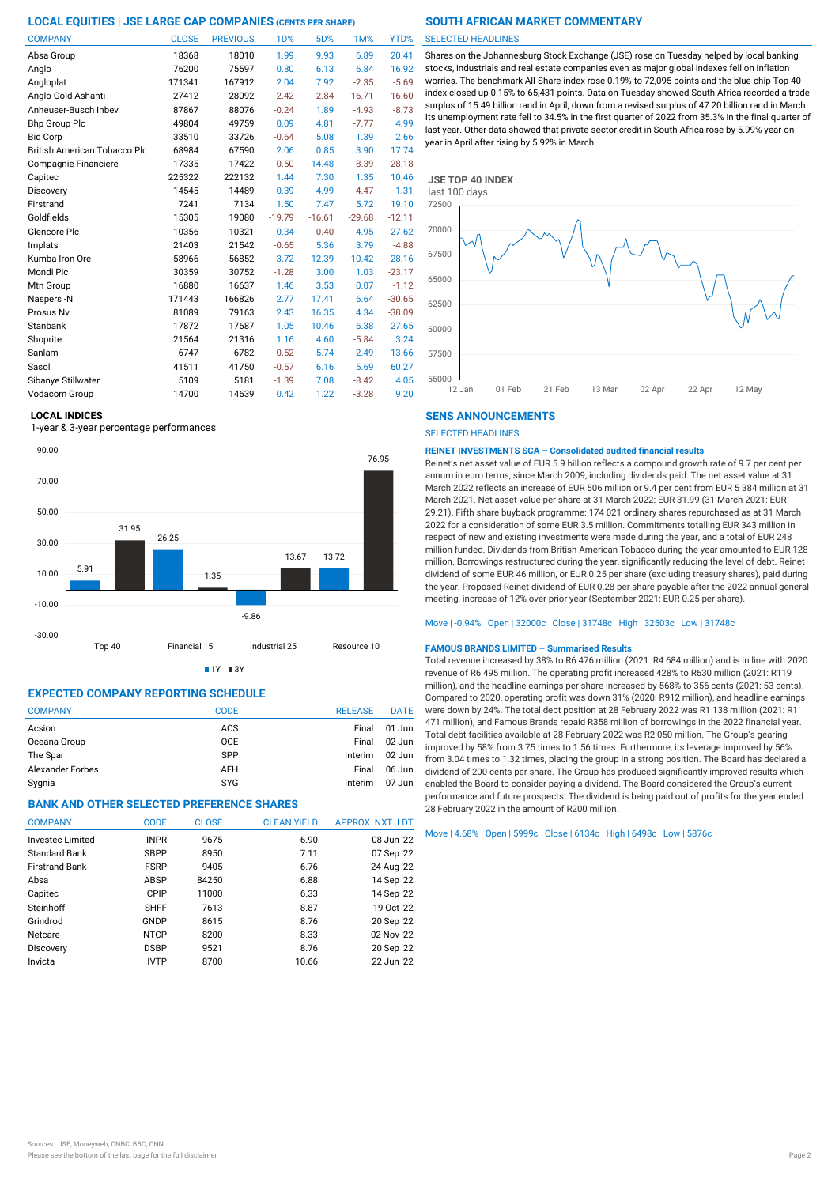| <b>COMPANY</b>                      | <b>CLOSE</b> | <b>PREVIOUS</b> | <b>1D%</b> | 5D%      | 1M%      | YTD%     |
|-------------------------------------|--------------|-----------------|------------|----------|----------|----------|
| Absa Group                          | 18368        | 18010           | 1.99       | 9.93     | 6.89     | 20.41    |
| Anglo                               | 76200        | 75597           | 0.80       | 6.13     | 6.84     | 16.92    |
| Angloplat                           | 171341       | 167912          | 2.04       | 7.92     | $-2.35$  | $-5.69$  |
| Anglo Gold Ashanti                  | 27412        | 28092           | $-2.42$    | $-2.84$  | $-16.71$ | $-16.60$ |
| Anheuser-Busch Inbev                | 87867        | 88076           | $-0.24$    | 1.89     | $-4.93$  | $-8.73$  |
| <b>Bhp Group Plc</b>                | 49804        | 49759           | 0.09       | 4.81     | $-7.77$  | 4.99     |
| <b>Bid Corp</b>                     | 33510        | 33726           | $-0.64$    | 5.08     | 1.39     | 2.66     |
| <b>British American Tobacco Plo</b> | 68984        | 67590           | 2.06       | 0.85     | 3.90     | 17.74    |
| Compagnie Financiere                | 17335        | 17422           | $-0.50$    | 14.48    | $-8.39$  | $-28.18$ |
| Capitec                             | 225322       | 222132          | 1.44       | 7.30     | 1.35     | 10.46    |
| Discovery                           | 14545        | 14489           | 0.39       | 4.99     | $-4.47$  | 1.31     |
| Firstrand                           | 7241         | 7134            | 1.50       | 7.47     | 5.72     | 19.10    |
| Goldfields                          | 15305        | 19080           | $-19.79$   | $-16.61$ | $-29.68$ | $-12.11$ |
| Glencore Plc                        | 10356        | 10321           | 0.34       | $-0.40$  | 4.95     | 27.62    |
| Implats                             | 21403        | 21542           | $-0.65$    | 5.36     | 3.79     | $-4.88$  |
| Kumba Iron Ore                      | 58966        | 56852           | 3.72       | 12.39    | 10.42    | 28.16    |
| Mondi Plc                           | 30359        | 30752           | $-1.28$    | 3.00     | 1.03     | $-23.17$ |
| Mtn Group                           | 16880        | 16637           | 1.46       | 3.53     | 0.07     | $-1.12$  |
| Naspers -N                          | 171443       | 166826          | 2.77       | 17.41    | 6.64     | $-30.65$ |
| Prosus Nv                           | 81089        | 79163           | 2.43       | 16.35    | 4.34     | $-38.09$ |
| Stanbank                            | 17872        | 17687           | 1.05       | 10.46    | 6.38     | 27.65    |
| Shoprite                            | 21564        | 21316           | 1.16       | 4.60     | $-5.84$  | 3.24     |
| Sanlam                              | 6747         | 6782            | $-0.52$    | 5.74     | 2.49     | 13.66    |
| Sasol                               | 41511        | 41750           | $-0.57$    | 6.16     | 5.69     | 60.27    |
| Sibanye Stillwater                  | 5109         | 5181            | $-1.39$    | 7.08     | $-8.42$  | 4.05     |
| Vodacom Group                       | 14700        | 14639           | 0.42       | 1.22     | $-3.28$  | 9.20     |

### **LOCAL INDICES**

1-year & 3-year percentage performances





# **EXPECTED COMPANY REPORTING SCHEDULE**

| <b>COMPANY</b>   | <b>CODE</b> | <b>RELEASE</b> | <b>DATE</b> |
|------------------|-------------|----------------|-------------|
| Acsion           | ACS         | Final          | $01$ Jun    |
| Oceana Group     | <b>OCE</b>  | Final          | $02$ Jun    |
| The Spar         | <b>SPP</b>  | Interim        | $02$ Jun    |
| Alexander Forbes | AFH         | Final          | 06 Jun      |
| Sygnia           | <b>SYG</b>  | Interim        | $07$ Jun    |

# **BANK AND OTHER SELECTED PREFERENCE SHARES**

| <b>COMPANY</b>        | CODE        | <b>CLOSE</b> | <b>CLEAN YIELD</b> | APPROX. NXT. LDT |
|-----------------------|-------------|--------------|--------------------|------------------|
| Invested Limited      | <b>INPR</b> | 9675         | 6.90               | 08 Jun '22       |
| <b>Standard Bank</b>  | <b>SBPP</b> | 8950         | 7.11               | 07 Sep '22       |
| <b>Firstrand Bank</b> | <b>FSRP</b> | 9405         | 6.76               | 24 Aug '22       |
| Absa                  | ABSP        | 84250        | 6.88               | 14 Sep '22       |
| Capitec               | CPIP        | 11000        | 6.33               | 14 Sep '22       |
| Steinhoff             | <b>SHFF</b> | 7613         | 8.87               | 19 Oct '22       |
| Grindrod              | GNDP        | 8615         | 8.76               | 20 Sep '22       |
| Netcare               | <b>NTCP</b> | 8200         | 8.33               | 02 Nov '22       |
| Discovery             | <b>DSBP</b> | 9521         | 8.76               | 20 Sep '22       |
| Invicta               | <b>IVTP</b> | 8700         | 10.66              | 22 Jun '22       |

#### SELECTED HEADLINES

Shares on the Johannesburg Stock Exchange (JSE) rose on Tuesday helped by local banking stocks, industrials and real estate companies even as major global indexes fell on inflation worries. The benchmark All-Share index rose 0.19% to 72,095 points and the blue-chip Top 40 index closed up 0.15% to 65,431 points. Data on Tuesday showed South Africa recorded a trade surplus of 15.49 billion rand in April, down from a revised surplus of 47.20 billion rand in March. Its unemployment rate fell to 34.5% in the first quarter of 2022 from 35.3% in the final quarter of last year. Other data showed that private-sector credit in South Africa rose by 5.99% year-onyear in April after rising by 5.92% in March.



#### **SENS ANNOUNCEMENTS**

SELECTED HEADLINES

#### **REINET INVESTMENTS SCA – Consolidated audited financial results**

Reinet's net asset value of EUR 5.9 billion reflects a compound growth rate of 9.7 per cent per annum in euro terms, since March 2009, including dividends paid. The net asset value at 31 March 2022 reflects an increase of EUR 506 million or 9.4 per cent from EUR 5 384 million at 31 March 2021. Net asset value per share at 31 March 2022: EUR 31.99 (31 March 2021: EUR 29.21). Fifth share buyback programme: 174 021 ordinary shares repurchased as at 31 March 2022 for a consideration of some EUR 3.5 million. Commitments totalling EUR 343 million in respect of new and existing investments were made during the year, and a total of EUR 248 million funded. Dividends from British American Tobacco during the year amounted to EUR 128 million. Borrowings restructured during the year, significantly reducing the level of debt. Reinet dividend of some EUR 46 million, or EUR 0.25 per share (excluding treasury shares), paid during the year. Proposed Reinet dividend of EUR 0.28 per share payable after the 2022 annual general meeting, increase of 12% over prior year (September 2021: EUR 0.25 per share).

#### Move | -0.94% Open | 32000c Close | 31748c High | 32503c Low | 31748c

#### **FAMOUS BRANDS LIMITED – Summarised Results**

Total revenue increased by 38% to R6 476 million (2021: R4 684 million) and is in line with 2020 revenue of R6 495 million. The operating profit increased 428% to R630 million (2021: R119 million), and the headline earnings per share increased by 568% to 356 cents (2021: 53 cents). Compared to 2020, operating profit was down 31% (2020: R912 million), and headline earnings were down by 24%. The total debt position at 28 February 2022 was R1 138 million (2021: R1 471 million), and Famous Brands repaid R358 million of borrowings in the 2022 financial year. Total debt facilities available at 28 February 2022 was R2 050 million. The Group's gearing improved by 58% from 3.75 times to 1.56 times. Furthermore, its leverage improved by 56% from 3.04 times to 1.32 times, placing the group in a strong position. The Board has declared a dividend of 200 cents per share. The Group has produced significantly improved results which enabled the Board to consider paying a dividend. The Board considered the Group's current performance and future prospects. The dividend is being paid out of profits for the year ended 28 February 2022 in the amount of R200 million.

Move | 4.68% Open | 5999c Close | 6134c High | 6498c Low | 5876c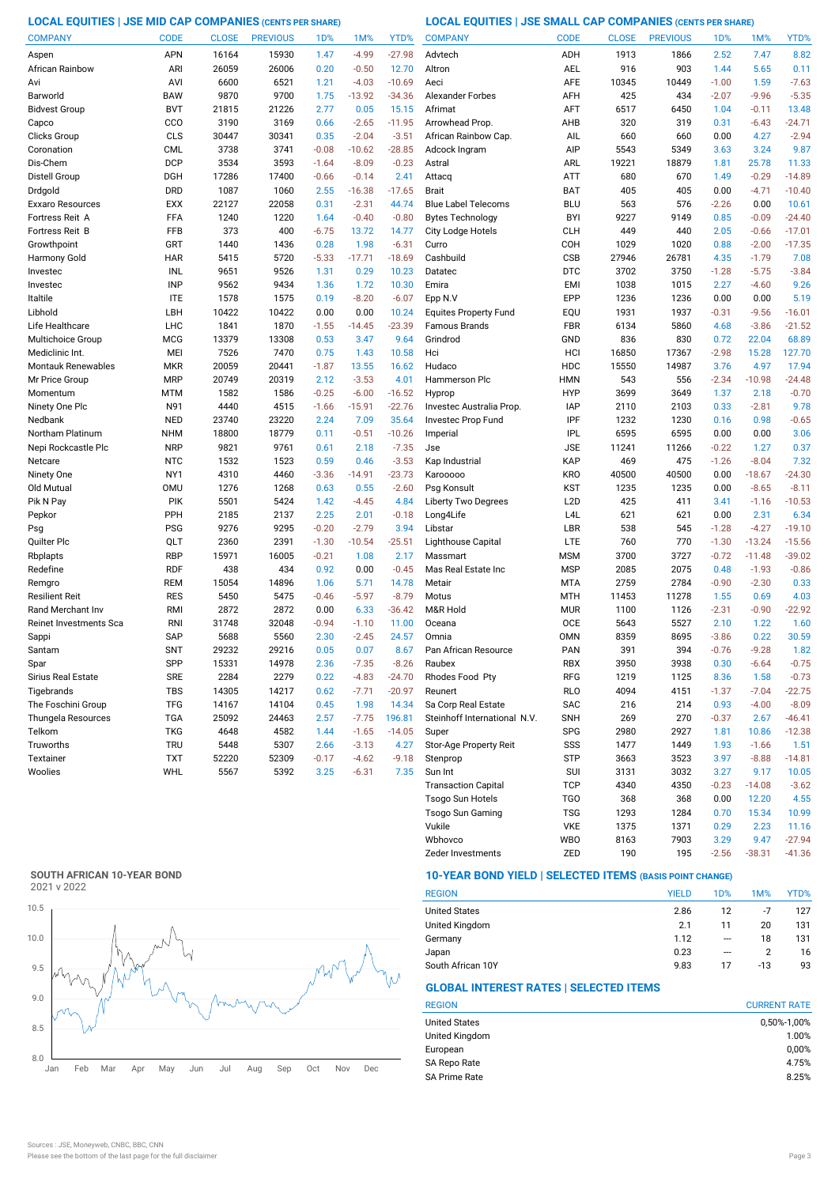# **LOCAL EQUITIES | JSE MID CAP COMPANIES (CENTS PER SHARE) LOCAL EQUITIES | JSE SMALL CAP COMPANIES (CENTS PER SHARE)**

| <b>COMPANY</b>            | <b>CODE</b> | <b>CLOSE</b> | <b>PREVIOUS</b> | 1 <sub>D</sub> % | 1M%      | YTD%     | <b>COMPANY</b>               | <b>CODE</b>      | <b>CLOSE</b> | <b>PREVIOUS</b> | 1D%     | 1M%      | YTD%     |
|---------------------------|-------------|--------------|-----------------|------------------|----------|----------|------------------------------|------------------|--------------|-----------------|---------|----------|----------|
| Aspen                     | <b>APN</b>  | 16164        | 15930           | 1.47             | $-4.99$  | $-27.98$ | Advtech                      | ADH              | 1913         | 1866            | 2.52    | 7.47     | 8.82     |
| African Rainbow           | ARI         | 26059        | 26006           | 0.20             | $-0.50$  | 12.70    | Altron                       | AEL              | 916          | 903             | 1.44    | 5.65     | 0.11     |
| Avı                       | AVI         | 6600         | 6521            | 1.21             | $-4.03$  | $-10.69$ | Aeci                         | AFE              | 10345        | 10449           | $-1.00$ | 1.59     | $-7.63$  |
| Barworld                  | <b>BAW</b>  | 9870         | 9700            | 1.75             | $-13.92$ | $-34.36$ | <b>Alexander Forbes</b>      | AFH              | 425          | 434             | $-2.07$ | $-9.96$  | $-5.35$  |
| <b>Bidvest Group</b>      | <b>BVT</b>  | 21815        | 21226           | 2.77             | 0.05     | 15.15    | Afrimat                      | AFT              | 6517         | 6450            | 1.04    | $-0.11$  | 13.48    |
| Capco                     | CCO         | 3190         | 3169            | 0.66             | $-2.65$  | $-11.95$ | Arrowhead Prop               | AHB              | 320          | 319             | 0.31    | $-6.43$  | $-24.71$ |
| Clicks Group              | CLS         | 30447        | 30341           | 0.35             | $-2.04$  | $-3.51$  | African Rainbow Cap.         | AIL              | 660          | 660             | 0.00    | 4.27     | $-2.94$  |
| Coronation                | <b>CML</b>  | 3738         | 3741            | $-0.08$          | $-10.62$ | $-28.85$ | Adcock Ingram                | AIP              | 5543         | 5349            | 3.63    | 3.24     | 9.87     |
| Dis-Chem                  | <b>DCP</b>  | 3534         | 3593            | $-1.64$          | $-8.09$  | $-0.23$  | Astral                       | ARL              | 19221        | 18879           | 1.81    | 25.78    | 11.33    |
| Distell Group             | DGH         | 17286        | 17400           | $-0.66$          | $-0.14$  | 2.41     | Attacq                       | ATT              | 680          | 670             | 1.49    | $-0.29$  | $-14.89$ |
| Drdgold                   | <b>DRD</b>  | 1087         | 1060            | 2.55             | $-16.38$ | $-17.65$ | <b>Brait</b>                 | <b>BAT</b>       | 405          | 405             | 0.00    | $-4.71$  | $-10.40$ |
| Exxaro Resources          | EXX         | 22127        | 22058           | 0.31             | $-2.31$  | 44.74    | <b>Blue Label Telecoms</b>   | <b>BLU</b>       | 563          | 576             | $-2.26$ | 0.00     | 10.61    |
| Fortress Reit A           | FFA         | 1240         | 1220            | 1.64             | $-0.40$  | $-0.80$  | <b>Bytes Technology</b>      | <b>BYI</b>       | 9227         | 9149            | 0.85    | $-0.09$  | $-24.40$ |
| <b>Fortress Reit B</b>    | FFB         | 373          | 400             | $-6.75$          | 13.72    | 14.77    | City Lodge Hotels            | <b>CLH</b>       | 449          | 440             | 2.05    | $-0.66$  | $-17.01$ |
| Growthpoint               | GRT         | 1440         | 1436            | 0.28             | 1.98     | $-6.31$  | Curro                        | COH              | 1029         | 1020            | 0.88    | $-2.00$  | $-17.35$ |
| Harmony Gold              | <b>HAR</b>  | 5415         | 5720            | $-5.33$          | $-17.71$ | $-18.69$ | Cashbuild                    | <b>CSB</b>       | 27946        | 26781           | 4.35    | $-1.79$  | 7.08     |
| Investec                  | INL         | 9651         | 9526            | 1.31             | 0.29     | 10.23    | Datatec                      | <b>DTC</b>       | 3702         | 3750            | $-1.28$ | $-5.75$  | $-3.84$  |
| Investec                  | <b>INP</b>  | 9562         | 9434            | 1.36             | 1.72     | 10.30    | Emira                        | <b>EMI</b>       | 1038         | 1015            | 2.27    | $-4.60$  | 9.26     |
| Italtile                  | <b>ITE</b>  | 1578         | 1575            | 0.19             | $-8.20$  | $-6.07$  | Epp N.V                      | EPP              | 1236         | 1236            | 0.00    | 0.00     | 5.19     |
| Libhold                   | LBH         | 10422        | 10422           | 0.00             | 0.00     | 10.24    | <b>Equites Property Fund</b> | EQU              | 1931         | 1937            | $-0.31$ | $-9.56$  | $-16.01$ |
| Life Healthcare           | <b>LHC</b>  | 1841         | 1870            | $-1.55$          | $-14.45$ | $-23.39$ | <b>Famous Brands</b>         | <b>FBR</b>       | 6134         | 5860            | 4.68    | $-3.86$  | $-21.52$ |
| Multichoice Group         | <b>MCG</b>  | 13379        | 13308           | 0.53             | 3.47     | 9.64     | Grindrod                     | GND              | 836          | 830             | 0.72    | 22.04    | 68.89    |
| Mediclinic Int.           | <b>MEI</b>  | 7526         | 7470            | 0.75             | 1.43     | 10.58    | Hci                          | HCI              | 16850        | 17367           | $-2.98$ | 15.28    | 127.70   |
| <b>Montauk Renewables</b> | <b>MKR</b>  | 20059        | 20441           | $-1.87$          | 13.55    | 16.62    | Hudaco                       | <b>HDC</b>       | 15550        | 14987           | 3.76    | 4.97     | 17.94    |
| Mr Price Group            | <b>MRP</b>  | 20749        | 20319           | 2.12             | $-3.53$  | 4.01     | Hammerson Plc                | <b>HMN</b>       | 543          | 556             | $-2.34$ | $-10.98$ | $-24.48$ |
| Momentum                  | <b>MTM</b>  | 1582         | 1586            | $-0.25$          | $-6.00$  | $-16.52$ | Hyprop                       | <b>HYP</b>       | 3699         | 3649            | 1.37    | 2.18     | $-0.70$  |
| Ninety One Plc            | N91         | 4440         | 4515            | $-1.66$          | $-15.91$ | $-22.76$ | Investec Australia Prop.     | <b>IAP</b>       | 2110         | 2103            | 0.33    | $-2.81$  | 9.78     |
| Nedbank                   | <b>NED</b>  | 23740        | 23220           | 2.24             | 7.09     | 35.64    | Investec Prop Fund           | IPF              | 1232         | 1230            | 0.16    | 0.98     | $-0.65$  |
| Northam Platinum          | <b>NHM</b>  | 18800        | 18779           | 0.11             | $-0.51$  | $-10.26$ | Imperial                     | <b>IPL</b>       | 6595         | 6595            | 0.00    | 0.00     | 3.06     |
| Nepi Rockcastle Plc       | <b>NRP</b>  | 9821         | 9761            | 0.61             | 2.18     | $-7.35$  | Jse                          | <b>JSE</b>       | 11241        | 11266           | $-0.22$ | 1.27     | 0.37     |
| Netcare                   | <b>NTC</b>  | 1532         | 1523            | 0.59             | 0.46     | $-3.53$  | Kap Industrial               | <b>KAP</b>       | 469          | 475             | $-1.26$ | $-8.04$  | 7.32     |
| Ninety One                | NY1         | 4310         | 4460            | $-3.36$          | $-14.91$ | $-23.73$ | Karooooo                     | <b>KRO</b>       | 40500        | 40500           | 0.00    | $-18.67$ | $-24.30$ |
| Old Mutual                | <b>OMU</b>  | 1276         | 1268            | 0.63             | 0.55     | $-2.60$  | Psg Konsult                  | KST              | 1235         | 1235            | 0.00    | $-8.65$  | $-8.11$  |
| Pik N Pay                 | PIK         | 5501         | 5424            | 1.42             | $-4.45$  | 4.84     | Liberty Two Degrees          | L <sub>2</sub> D | 425          | 411             | 3.41    | $-1.16$  | $-10.53$ |
| Pepkor                    | PPH         | 2185         | 2137            | 2.25             | 2.01     | $-0.18$  | Long4Life                    | L <sub>4</sub> L | 621          | 621             | 0.00    | 2.31     | 6.34     |
| Psg                       | <b>PSG</b>  | 9276         | 9295            | $-0.20$          | $-2.79$  | 3.94     | Libstar                      | LBR              | 538          | 545             | $-1.28$ | $-4.27$  | $-19.10$ |
| Quilter Plc               | QLT         | 2360         | 2391            | $-1.30$          | $-10.54$ | $-25.51$ | Lighthouse Capital           | <b>LTE</b>       | 760          | 770             | $-1.30$ | $-13.24$ | $-15.56$ |
| Rbplapts                  | <b>RBP</b>  | 15971        | 16005           | $-0.21$          | 1.08     | 2.17     | Massmart                     | <b>MSM</b>       | 3700         | 3727            | $-0.72$ | $-11.48$ | $-39.02$ |
| Redefine                  | <b>RDF</b>  | 438          | 434             | 0.92             | 0.00     | $-0.45$  | Mas Real Estate Inc          | <b>MSP</b>       | 2085         | 2075            | 0.48    | $-1.93$  | $-0.86$  |
| Remgro                    | <b>REM</b>  | 15054        | 14896           | 1.06             | 5.71     | 14.78    | Metair                       | <b>MTA</b>       | 2759         | 2784            | $-0.90$ | $-2.30$  | 0.33     |
| Resilient Reit            | <b>RES</b>  | 5450         | 5475            | $-0.46$          | $-5.97$  | $-8.79$  | Motus                        | <b>MTH</b>       | 11453        | 11278           | 1.55    | 0.69     | 4.03     |
| Rand Merchant Inv         | RMI         | 2872         | 2872            | 0.00             | 6.33     | $-36.42$ | M&R Hold                     | <b>MUR</b>       | 1100         | 1126            | $-2.31$ | $-0.90$  | $-22.92$ |
| Reinet Investments Sca    | <b>RNI</b>  | 31748        | 32048           | $-0.94$          | $-1.10$  | 11.00    | Oceana                       | OCE              | 5643         | 5527            | 2.10    | 1.22     | 1.60     |
| Sappi                     | <b>SAP</b>  | 5688         | 5560            | 2.30             | $-2.45$  | 24.57    | Omnia                        | <b>OMN</b>       | 8359         | 8695            | $-3.86$ | 0.22     | 30.59    |
| Santam                    | <b>SNT</b>  | 29232        | 29216           | 0.05             | 0.07     | 8.67     | Pan African Resource         | <b>PAN</b>       | 391          | 394             | $-0.76$ | $-9.28$  | 1.82     |
| Spar                      | SPP         | 15331        | 14978           | 2.36             | $-7.35$  | $-8.26$  | Raubex                       | RBX              | 3950         | 3938            | 0.30    | $-6.64$  | $-0.75$  |
| Sirius Real Estate        | <b>SRE</b>  | 2284         | 2279            | 0.22             | $-4.83$  | $-24.70$ | Rhodes Food Pty              | RFG              | 1219         | 1125            | 8.36    | 1.58     | $-0.73$  |
| Tigebrands                | TBS         | 14305        | 14217           | 0.62             | $-7.71$  | $-20.97$ | Reunert                      | <b>RLO</b>       | 4094         | 4151            | $-1.37$ | $-7.04$  | $-22.75$ |
| The Foschini Group        | <b>TFG</b>  | 14167        | 14104           | 0.45             | 1.98     | 14.34    | Sa Corp Real Estate          | SAC              | 216          | 214             | 0.93    | $-4.00$  | $-8.09$  |
| Thungela Resources        | <b>TGA</b>  | 25092        | 24463           | 2.57             | $-7.75$  | 196.81   | Steinhoff International N.V. | <b>SNH</b>       | 269          | 270             | $-0.37$ | 2.67     | $-46.41$ |
| Telkom                    | <b>TKG</b>  | 4648         | 4582            | 1.44             | $-1.65$  | $-14.05$ | Super                        | <b>SPG</b>       | 2980         | 2927            | 1.81    | 10.86    | $-12.38$ |
| Truworths                 | <b>TRU</b>  | 5448         | 5307            | 2.66             | $-3.13$  | 4.27     | Stor-Age Property Reit       | SSS              | 1477         | 1449            | 1.93    | $-1.66$  | 1.51     |
| Textainer                 | <b>TXT</b>  | 52220        | 52309           | $-0.17$          | $-4.62$  | $-9.18$  | Stenprop                     | <b>STP</b>       | 3663         | 3523            | 3.97    | $-8.88$  | $-14.81$ |
| Woolies                   | WHL         | 5567         | 5392            | 3.25             | $-6.31$  | 7.35     | Sun Int                      | SUI              | 3131         | 3032            | 3.27    | 9.17     | 10.05    |
|                           |             |              |                 |                  |          |          | <b>Transaction Capital</b>   | <b>TCP</b>       | 4340         | 4350            | $-0.23$ | $-14.08$ | $-3.62$  |
|                           |             |              |                 |                  |          |          | Tsogo Sun Hotels             | TG <sub>O</sub>  | 368          | 368             | 0.00    | 12.20    | 4.55     |

# **SOUTH AFRICAN 10-YEAR BOND**



# **10-YEAR BOND YIELD | SELECTED ITEMS (BASIS POINT CHANGE)**

| <b>REGION</b>        | <b>YIELD</b> | 1D% | 1M%   | YTD% |
|----------------------|--------------|-----|-------|------|
| <b>United States</b> | 2.86         | 12  | -7    | 127  |
| United Kingdom       | 2.1          | 11  | 20    | 131  |
| Germany              | 1.12         | --- | 18    | 131  |
| Japan                | 0.23         | --- | 2     | 16   |
| South African 10Y    | 9.83         | 17  | $-13$ | 93   |

Zeder Investments ZED 190 195 -2.56 -38.31 -41.36

Wbhovco WBO 8163 7903 3.29 9.47 -27.94 Vukile VKE 1375 1371 0.29 2.23

Tsogo Sun Gaming TSG 1293 1284 0.70 15.34 10.99

# **GLOBAL INTEREST RATES | SELECTED ITEMS**

| <b>CURRENT RATE</b> |
|---------------------|
| 0,50%-1,00%         |
| 1.00%               |
| 0,00%               |
| 4.75%               |
| 8.25%               |
|                     |

11.16<br>-27.94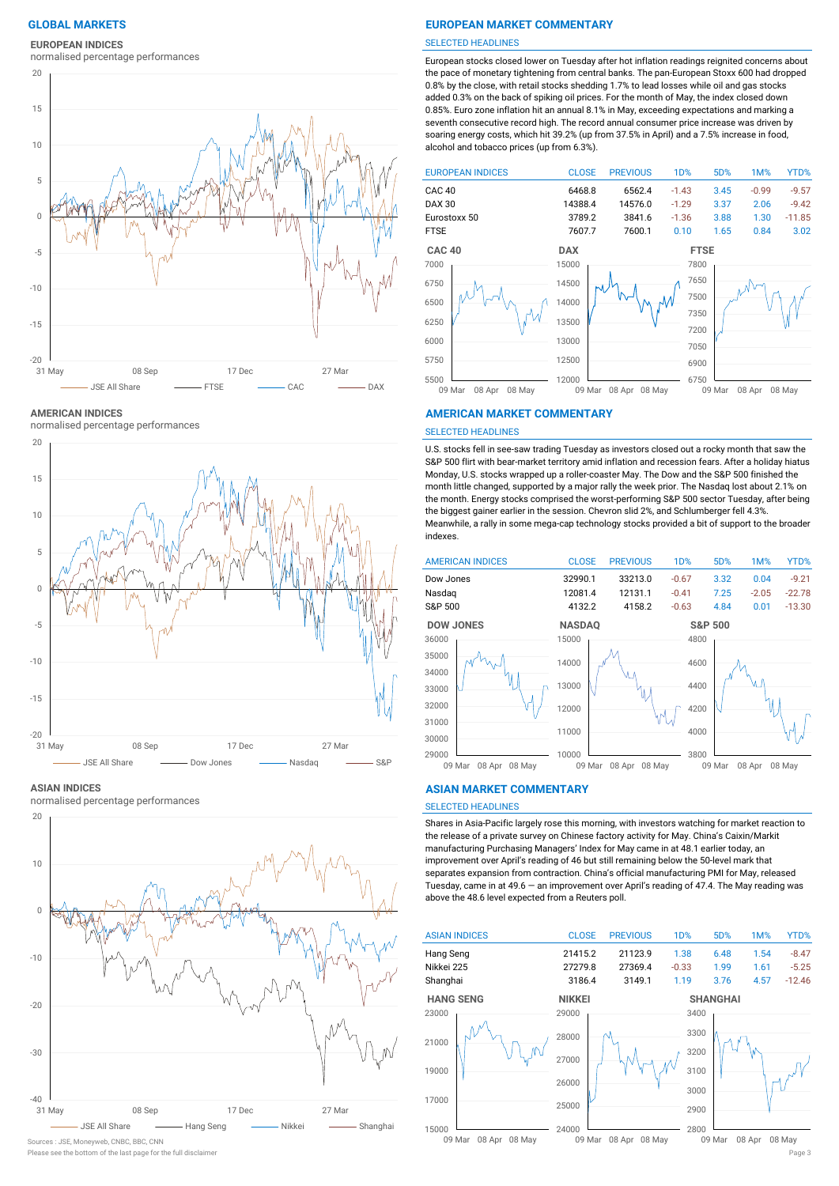### **EUROPEAN INDICES**

normalised percentage performances



**AMERICAN INDICES**

normalised percentage performances



#### **ASIAN INDICES**

normalised percentage performances



# Sources : JSE, Moneyweb, CNBC, BBC, CNN

### **GLOBAL MARKETS EUROPEAN MARKET COMMENTARY**

#### SELECTED HEADLINES

European stocks closed lower on Tuesday after hot inflation readings reignited concerns about the pace of monetary tightening from central banks. The pan-European Stoxx 600 had dropped 0.8% by the close, with retail stocks shedding 1.7% to lead losses while oil and gas stocks added 0.3% on the back of spiking oil prices. For the month of May, the index closed down 0.85%. Euro zone inflation hit an annual 8.1% in May, exceeding expectations and marking a seventh consecutive record high. The record annual consumer price increase was driven by soaring energy costs, which hit 39.2% (up from 37.5% in April) and a 7.5% increase in food, alcohol and tobacco prices (up from 6.3%).



#### **AMERICAN MARKET COMMENTARY**

#### SELECTED HEADLINES

U.S. stocks fell in see-saw trading Tuesday as investors closed out a rocky month that saw the S&P 500 flirt with bear-market territory amid inflation and recession fears. After a holiday hiatus Monday, U.S. stocks wrapped up a roller-coaster May. The Dow and the S&P 500 finished the month little changed, supported by a major rally the week prior. The Nasdaq lost about 2.1% on the month. Energy stocks comprised the worst-performing S&P 500 sector Tuesday, after being the biggest gainer earlier in the session. Chevron slid 2%, and Schlumberger fell 4.3%. Meanwhile, a rally in some mega-cap technology stocks provided a bit of support to the broader indexes.



#### **ASIAN MARKET COMMENTARY**

#### SELECTED HEADLINES

Shares in Asia-Pacific largely rose this morning, with investors watching for market reaction to the release of a private survey on Chinese factory activity for May. China's Caixin/Markit manufacturing Purchasing Managers' Index for May came in at 48.1 earlier today, an improvement over April's reading of 46 but still remaining below the 50-level mark that separates expansion from contraction. China's official manufacturing PMI for May, released Tuesday, came in at 49.6 — an improvement over April's reading of 47.4. The May reading was above the 48.6 level expected from a Reuters poll.



Please see the bottom of the last page for the full disclaime